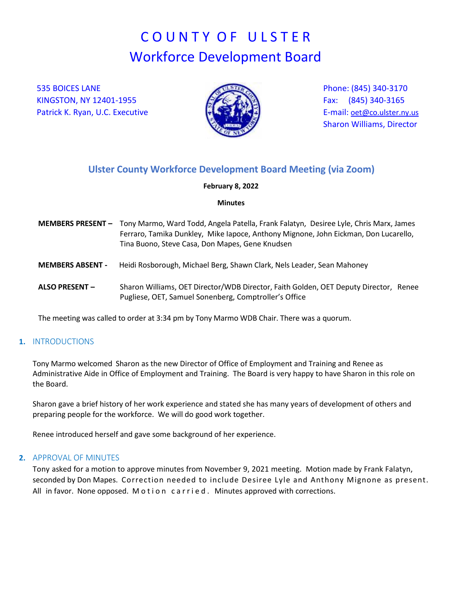# COUNTY OF ULSTER Workforce Development Board

535 BOICES LANE KINGSTON, NY 12401-1955 Patrick K. Ryan, U.C. Executive



Phone: (845) 340-3170 Fax: (845) 340-3165 E-mail: [oet@co.ulster.ny.us](mailto:oet@co.ulster.ny.us) Sharon Williams, Director

# **Ulster County Workforce Development Board Meeting (via Zoom)**

#### **February 8, 2022**

#### **Minutes**

- **MEMBERS PRESENT** Tony Marmo, Ward Todd, Angela Patella, Frank Falatyn, Desiree Lyle, Chris Marx, James Ferraro, Tamika Dunkley, Mike Iapoce, Anthony Mignone, John Eickman, Don Lucarello, Tina Buono, Steve Casa, Don Mapes, Gene Knudsen
- **MEMBERS ABSENT -** Heidi Rosborough, Michael Berg, Shawn Clark, Nels Leader, Sean Mahoney
- **ALSO PRESENT –** Sharon Williams, OET Director/WDB Director, Faith Golden, OET Deputy Director, Renee Pugliese, OET, Samuel Sonenberg, Comptroller's Office

The meeting was called to order at 3:34 pm by Tony Marmo WDB Chair. There was a quorum.

#### **1.** INTRODUCTIONS

Tony Marmo welcomed Sharon as the new Director of Office of Employment and Training and Renee as Administrative Aide in Office of Employment and Training. The Board is very happy to have Sharon in this role on the Board.

Sharon gave a brief history of her work experience and stated she has many years of development of others and preparing people for the workforce. We will do good work together.

Renee introduced herself and gave some background of her experience.

#### **2.** APPROVAL OF MINUTES

Tony asked for a motion to approve minutes from November 9, 2021 meeting. Motion made by Frank Falatyn, seconded by Don Mapes. Correction needed to include Desiree Lyle and Anthony Mignone as present. All in favor. None opposed. Motion carried. Minutes approved with corrections.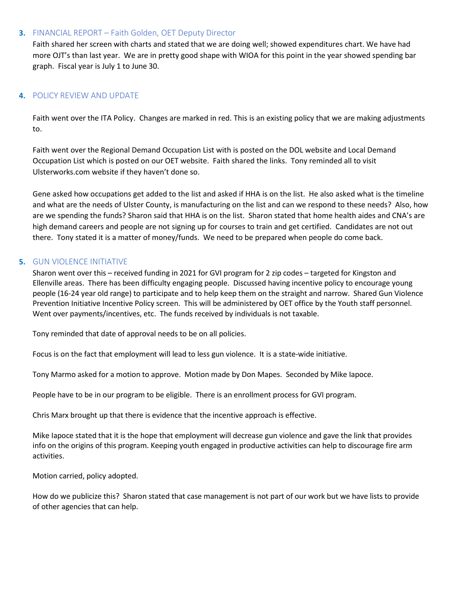#### **3.** FINANCIAL REPORT – Faith Golden, OET Deputy Director

Faith shared her screen with charts and stated that we are doing well; showed expenditures chart. We have had more OJT's than last year. We are in pretty good shape with WIOA for this point in the year showed spending bar graph. Fiscal year is July 1 to June 30.

## **4.** POLICY REVIEW AND UPDATE

Faith went over the ITA Policy. Changes are marked in red. This is an existing policy that we are making adjustments to.

Faith went over the Regional Demand Occupation List with is posted on the DOL website and Local Demand Occupation List which is posted on our OET website. Faith shared the links. Tony reminded all to visit Ulsterworks.com website if they haven't done so.

Gene asked how occupations get added to the list and asked if HHA is on the list. He also asked what is the timeline and what are the needs of Ulster County, is manufacturing on the list and can we respond to these needs? Also, how are we spending the funds? Sharon said that HHA is on the list. Sharon stated that home health aides and CNA's are high demand careers and people are not signing up for courses to train and get certified. Candidates are not out there. Tony stated it is a matter of money/funds. We need to be prepared when people do come back.

## **5.** GUN VIOLENCE INITIATIVE

Sharon went over this – received funding in 2021 for GVI program for 2 zip codes – targeted for Kingston and Ellenville areas. There has been difficulty engaging people. Discussed having incentive policy to encourage young people (16-24 year old range) to participate and to help keep them on the straight and narrow. Shared Gun Violence Prevention Initiative Incentive Policy screen. This will be administered by OET office by the Youth staff personnel. Went over payments/incentives, etc. The funds received by individuals is not taxable.

Tony reminded that date of approval needs to be on all policies.

Focus is on the fact that employment will lead to less gun violence. It is a state-wide initiative.

Tony Marmo asked for a motion to approve. Motion made by Don Mapes. Seconded by Mike Iapoce.

People have to be in our program to be eligible. There is an enrollment process for GVI program.

Chris Marx brought up that there is evidence that the incentive approach is effective.

Mike Iapoce stated that it is the hope that employment will decrease gun violence and gave the link that provides info on the origins of this program. Keeping youth engaged in productive activities can help to discourage fire arm activities.

Motion carried, policy adopted.

How do we publicize this? Sharon stated that case management is not part of our work but we have lists to provide of other agencies that can help.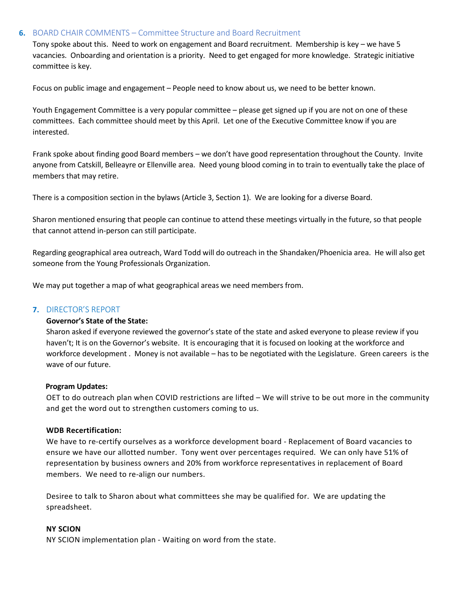#### **6.** BOARD CHAIR COMMENTS – Committee Structure and Board Recruitment

Tony spoke about this. Need to work on engagement and Board recruitment. Membership is key – we have 5 vacancies. Onboarding and orientation is a priority. Need to get engaged for more knowledge. Strategic initiative committee is key.

Focus on public image and engagement – People need to know about us, we need to be better known.

Youth Engagement Committee is a very popular committee – please get signed up if you are not on one of these committees. Each committee should meet by this April. Let one of the Executive Committee know if you are interested.

Frank spoke about finding good Board members – we don't have good representation throughout the County. Invite anyone from Catskill, Belleayre or Ellenville area. Need young blood coming in to train to eventually take the place of members that may retire.

There is a composition section in the bylaws (Article 3, Section 1). We are looking for a diverse Board.

Sharon mentioned ensuring that people can continue to attend these meetings virtually in the future, so that people that cannot attend in-person can still participate.

Regarding geographical area outreach, Ward Todd will do outreach in the Shandaken/Phoenicia area. He will also get someone from the Young Professionals Organization.

We may put together a map of what geographical areas we need members from.

#### **7.** DIRECTOR'S REPORT

#### **Governor's State of the State:**

Sharon asked if everyone reviewed the governor's state of the state and asked everyone to please review if you haven't; It is on the Governor's website. It is encouraging that it is focused on looking at the workforce and workforce development . Money is not available – has to be negotiated with the Legislature. Green careers is the wave of our future.

#### **Program Updates:**

OET to do outreach plan when COVID restrictions are lifted – We will strive to be out more in the community and get the word out to strengthen customers coming to us.

#### **WDB Recertification:**

We have to re-certify ourselves as a workforce development board - Replacement of Board vacancies to ensure we have our allotted number. Tony went over percentages required. We can only have 51% of representation by business owners and 20% from workforce representatives in replacement of Board members. We need to re-align our numbers.

Desiree to talk to Sharon about what committees she may be qualified for. We are updating the spreadsheet.

#### **NY SCION**

NY SCION implementation plan - Waiting on word from the state.